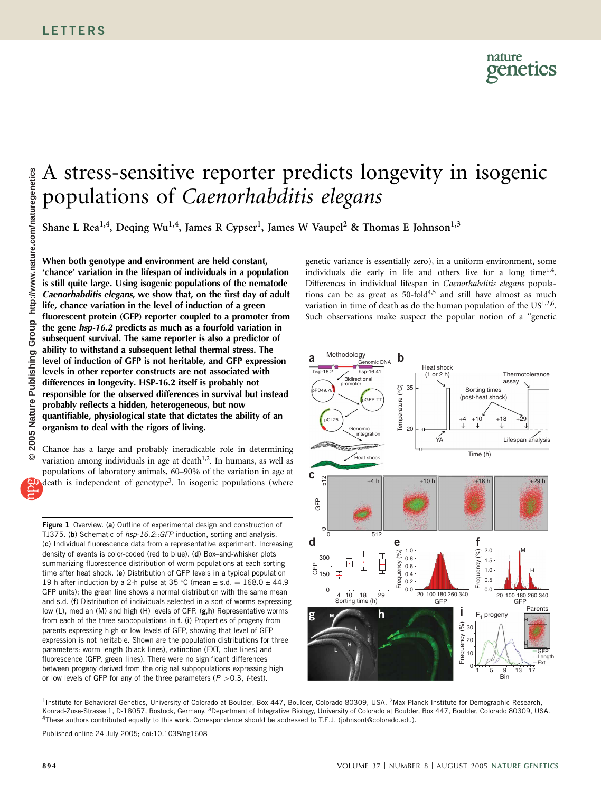# A stress-sensitive reporter predicts longevity in isogenic populations of Caenorhabditis elegans

Shane L Rea<sup>1,4</sup>, Deqing Wu<sup>1,4</sup>, James R Cypser<sup>1</sup>, James W Vaupel<sup>2</sup> & Thomas E Johnson<sup>1,3</sup>

When both genotype and environment are held constant, 'chance' variation in the lifespan of individuals in a population is still quite large. Using isogenic populations of the nematode Caenorhabditis elegans, we show that, on the first day of adult life, chance variation in the level of induction of a green fluorescent protein (GFP) reporter coupled to a promoter from the gene hsp-16.2 predicts as much as a fourfold variation in subsequent survival. The same reporter is also a predictor of ability to withstand a subsequent lethal thermal stress. The level of induction of GFP is not heritable, and GFP expression levels in other reporter constructs are not associated with differences in longevity. HSP-16.2 itself is probably not responsible for the observed differences in survival but instead probably reflects a hidden, heterogeneous, but now quantifiable, physiological state that dictates the ability of an organism to deal with the rigors of living.

Chance has a large and probably ineradicable role in determining variation among individuals in age at death $1,2$ . In humans, as well as populations of laboratory animals, 60–90% of the variation in age at death is independent of genotype<sup>3</sup>. In isogenic populations (where

Figure 1 Overview. (a) Outline of experimental design and construction of TJ375. (b) Schematic of hsp-16.2::GFP induction, sorting and analysis. (c) Individual fluorescence data from a representative experiment. Increasing density of events is color-coded (red to blue). (d) Box–and-whisker plots summarizing fluorescence distribution of worm populations at each sorting time after heat shock. (e) Distribution of GFP levels in a typical population 19 h after induction by a 2-h pulse at 35 °C (mean  $\pm$  s.d. = 168.0  $\pm$  44.9 GFP units); the green line shows a normal distribution with the same mean and s.d. (f) Distribution of individuals selected in a sort of worms expressing low (L), median (M) and high (H) levels of GFP. (g,h) Representative worms from each of the three subpopulations in f. (i) Properties of progeny from parents expressing high or low levels of GFP, showing that level of GFP expression is not heritable. Shown are the population distributions for three parameters: worm length (black lines), extinction (EXT, blue lines) and fluorescence (GFP, green lines). There were no significant differences between progeny derived from the original subpopulations expressing high or low levels of GFP for any of the three parameters ( $P > 0.3$ , t-test).

genetic variance is essentially zero), in a uniform environment, some individuals die early in life and others live for a long time<sup>1,4</sup>. Differences in individual lifespan in Caenorhabditis elegans populations can be as great as  $50$ -fold $4,5$  and still have almost as much variation in time of death as do the human population of the US<sup>1,2,6</sup>. Such observations make suspect the popular notion of a ''genetic



<sup>1</sup>Institute for Behavioral Genetics, University of Colorado at Boulder, Box 447, Boulder, Colorado 80309, USA. <sup>2</sup>Max Planck Institute for Demographic Research, Konrad-Zuse-Strasse 1, D-18057, Rostock, Germany. <sup>3</sup>Department of Integrative Biology, University of Colorado at Boulder, Box 447, Boulder, Colorado 80309, USA. 4These authors contributed equally to this work. Correspondence should be addressed to T.E.J. (johnsont@colorado.edu).

Published online 24 July 2005; doi:10.1038/ng1608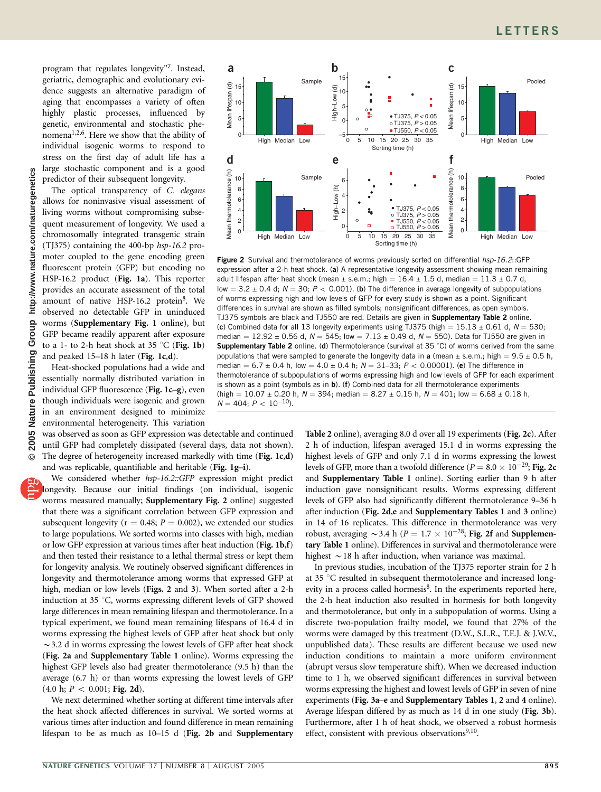program that regulates longevity''7. Instead, geriatric, demographic and evolutionary evidence suggests an alternative paradigm of aging that encompasses a variety of often highly plastic processes, influenced by genetic, environmental and stochastic phenomena1,2,6. Here we show that the ability of individual isogenic worms to respond to stress on the first day of adult life has a large stochastic component and is a good predictor of their subsequent longevity.

The optical transparency of C. elegans allows for noninvasive visual assessment of living worms without compromising subsequent measurement of longevity. We used a chromosomally integrated transgenic strain (TJ375) containing the 400-bp hsp-16.2 promoter coupled to the gene encoding green fluorescent protein (GFP) but encoding no HSP-16.2 product (Fig. 1a). This reporter provides an accurate assessment of the total amount of native HSP-16.2 protein<sup>8</sup>. We observed no detectable GFP in uninduced worms (Supplementary Fig. 1 online), but GFP became readily apparent after exposure to a 1- to 2-h heat shock at 35  $^{\circ}$ C (Fig. 1b) and peaked 15–18 h later (Fig. 1c,d).

Heat-shocked populations had a wide and essentially normally distributed variation in individual GFP fluorescence (Fig. 1c-g), even though individuals were isogenic and grown in an environment designed to minimize environmental heterogeneity. This variation

was observed as soon as GFP expression was detectable and continued until GFP had completely dissipated (several days, data not shown). The degree of heterogeneity increased markedly with time (Fig. 1c,d) and was replicable, quantifiable and heritable (Fig. 1g–i).

We considered whether hsp-16.2::GFP expression might predict longevity. Because our initial findings (on individual, isogenic worms measured manually; Supplementary Fig. 2 online) suggested that there was a significant correlation between GFP expression and subsequent longevity ( $r = 0.48$ ;  $P = 0.002$ ), we extended our studies to large populations. We sorted worms into classes with high, median or low GFP expression at various times after heat induction (Fig. 1b,f) and then tested their resistance to a lethal thermal stress or kept them for longevity analysis. We routinely observed significant differences in longevity and thermotolerance among worms that expressed GFP at high, median or low levels (Figs. 2 and 3). When sorted after a 2-h induction at 35 °C, worms expressing different levels of GFP showed large differences in mean remaining lifespan and thermotolerance. In a typical experiment, we found mean remaining lifespans of 16.4 d in worms expressing the highest levels of GFP after heat shock but only  $\sim$  3.2 d in worms expressing the lowest levels of GFP after heat shock (Fig. 2a and Supplementary Table 1 online). Worms expressing the highest GFP levels also had greater thermotolerance (9.5 h) than the average (6.7 h) or than worms expressing the lowest levels of GFP  $(4.0 \text{ h}; P < 0.001; \text{Fig. 2d}).$ 

We next determined whether sorting at different time intervals after the heat shock affected differences in survival. We sorted worms at various times after induction and found difference in mean remaining lifespan to be as much as 10–15 d (Fig. 2b and Supplementary



Figure 2 Survival and thermotolerance of worms previously sorted on differential hsp-16.2::GFP expression after a 2-h heat shock. (a) A representative longevity assessment showing mean remaining adult lifespan after heat shock (mean  $\pm$  s.e.m.; high = 16.4  $\pm$  1.5 d, median = 11.3  $\pm$  0.7 d, low = 3.2  $\pm$  0.4 d; N = 30; P < 0.001). (b) The difference in average longevity of subpopulations of worms expressing high and low levels of GFP for every study is shown as a point. Significant differences in survival are shown as filled symbols; nonsignificant differences, as open symbols. TJ375 symbols are black and TJ550 are red. Details are given in Supplementary Table 2 online. (c) Combined data for all 13 longevity experiments using TJ375 (high =  $15.13 \pm 0.61$  d,  $N = 530$ ; median =  $12.92 \pm 0.56$  d,  $N = 545$ ; low =  $7.13 \pm 0.49$  d,  $N = 550$ ). Data for TJ550 are given in Supplementary Table 2 online. (d) Thermotolerance (survival at  $35^{\circ}$ C) of worms derived from the same populations that were sampled to generate the longevity data in a (mean  $\pm$  s.e.m.; high = 9.5  $\pm$  0.5 h, median  $= 6.7 \pm 0.4$  h, low  $= 4.0 \pm 0.4$  h;  $N = 31-33$ ;  $P < 0.00001$ ). (e) The difference in thermotolerance of subpopulations of worms expressing high and low levels of GFP for each experiment is shown as a point (symbols as in b). (f) Combined data for all thermotolerance experiments (high  $= 10.07 \pm 0.20$  h,  $N = 394$ ; median  $= 8.27 \pm 0.15$  h,  $N = 401$ ; low  $= 6.68 \pm 0.18$  h,  $N = 404; P < 10^{-10}$ ).

Table 2 online), averaging 8.0 d over all 19 experiments (Fig. 2c). After 2 h of induction, lifespan averaged 15.1 d in worms expressing the highest levels of GFP and only 7.1 d in worms expressing the lowest levels of GFP, more than a twofold difference ( $P=8.0\times 10^{-29}$ ; Fig. 2c and Supplementary Table 1 online). Sorting earlier than 9 h after induction gave nonsignificant results. Worms expressing different levels of GFP also had significantly different thermotolerance 9–36 h after induction (Fig. 2d,e and Supplementary Tables 1 and 3 online) in 14 of 16 replicates. This difference in thermotolerance was very robust, averaging  $\sim$  3.4 h ( $P = 1.7 \times 10^{-28}$ ; Fig. 2f and Supplementary Table 1 online). Differences in survival and thermotolerance were highest  $\sim$  18 h after induction, when variance was maximal.

In previous studies, incubation of the TJ375 reporter strain for 2 h at 35 °C resulted in subsequent thermotolerance and increased longevity in a process called hormesis<sup>8</sup>. In the experiments reported here, the 2-h heat induction also resulted in hormesis for both longevity and thermotolerance, but only in a subpopulation of worms. Using a discrete two-population frailty model, we found that 27% of the worms were damaged by this treatment (D.W., S.L.R., T.E.J. & J.W.V., unpublished data). These results are different because we used new induction conditions to maintain a more uniform environment (abrupt versus slow temperature shift). When we decreased induction time to 1 h, we observed significant differences in survival between worms expressing the highest and lowest levels of GFP in seven of nine experiments (Fig. 3a–e and Supplementary Tables 1, 2 and 4 online). Average lifespan differed by as much as 14 d in one study (Fig. 3b). Furthermore, after 1 h of heat shock, we observed a robust hormesis effect, consistent with previous observations $9,10$ .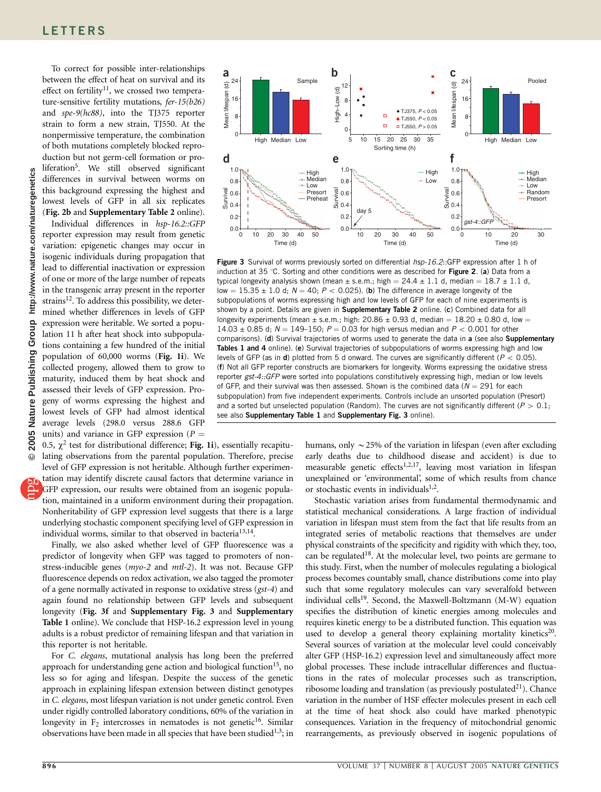To correct for possible inter-relationships between the effect of heat on survival and its effect on fertility<sup>11</sup>, we crossed two temperature-sensitive fertility mutations, fer-15(b26) and spe-9(hc88), into the TJ375 reporter strain to form a new strain, TJ550. At the nonpermissive temperature, the combination of both mutations completely blocked reproduction but not germ-cell formation or proliferation<sup>5</sup>. We still observed significant differences in survival between worms on this background expressing the highest and lowest levels of GFP in all six replicates (Fig. 2b and Supplementary Table 2 online).

Individual differences in hsp-16.2::GFP reporter expression may result from genetic variation: epigenetic changes may occur in isogenic individuals during propagation that lead to differential inactivation or expression of one or more of the large number of repeats in the transgenic array present in the reporter strains<sup>12</sup>. To address this possibility, we determined whether differences in levels of GFP expression were heritable. We sorted a population 11 h after heat shock into subpopulations containing a few hundred of the initial population of 60,000 worms (Fig. 1i). We collected progeny, allowed them to grow to maturity, induced them by heat shock and assessed their levels of GFP expression. Progeny of worms expressing the highest and lowest levels of GFP had almost identical average levels (298.0 versus 288.6 GFP units) and variance in GFP expression ( $P =$ 

0.5,  $\chi^2$  test for distributional difference; Fig. 1i), essentially recapitulating observations from the parental population. Therefore, precise level of GFP expression is not heritable. Although further experimentation may identify discrete causal factors that determine variance in GFP expression, our results were obtained from an isogenic population, maintained in a uniform environment during their propagation. Nonheritability of GFP expression level suggests that there is a large underlying stochastic component specifying level of GFP expression in individual worms, similar to that observed in bacteria<sup>13,14</sup>.

Finally, we also asked whether level of GFP fluorescence was a predictor of longevity when GFP was tagged to promoters of nonstress-inducible genes (myo-2 and mtl-2). It was not. Because GFP fluorescence depends on redox activation, we also tagged the promoter of a gene normally activated in response to oxidative stress (gst-4) and again found no relationship between GFP levels and subsequent longevity (Fig. 3f and Supplementary Fig. 3 and Supplementary Table 1 online). We conclude that HSP-16.2 expression level in young adults is a robust predictor of remaining lifespan and that variation in this reporter is not heritable.

For C. elegans, mutational analysis has long been the preferred approach for understanding gene action and biological function<sup>15</sup>, no less so for aging and lifespan. Despite the success of the genetic approach in explaining lifespan extension between distinct genotypes in C. elegans, most lifespan variation is not under genetic control. Even under rigidly controlled laboratory conditions, 60% of the variation in longevity in  $F_2$  intercrosses in nematodes is not genetic<sup>16</sup>. Similar observations have been made in all species that have been studied<sup>1,3</sup>; in



Figure 3 Survival of worms previously sorted on differential hsp-16.2::GFP expression after 1 h of induction at 35 °C. Sorting and other conditions were as described for Figure 2. (a) Data from a typical longevity analysis shown (mean  $\pm$  s.e.m.; high = 24.4  $\pm$  1.1 d, median = 18.7  $\pm$  1.1 d, low =  $15.35 \pm 1.0$  d;  $N = 40$ ;  $P < 0.025$ ). (b) The difference in average longevity of the subpopulations of worms expressing high and low levels of GFP for each of nine experiments is shown by a point. Details are given in Supplementary Table 2 online. (c) Combined data for all longevity experiments (mean  $\pm$  s.e.m.; high: 20.86  $\pm$  0.93 d, median = 18.20  $\pm$  0.80 d, low = 14.03  $\pm$  0.85 d; N = 149-150; P = 0.03 for high versus median and P < 0.001 for other comparisons). (d) Survival trajectories of worms used to generate the data in a (see also Supplementary Tables 1 and 4 online). (e) Survival trajectories of subpopulations of worms expressing high and low levels of GFP (as in **d**) plotted from 5 d onward. The curves are significantly different ( $P < 0.05$ ). (f) Not all GFP reporter constructs are biomarkers for longevity. Worms expressing the oxidative stress reporter gst-4::GFP were sorted into populations constitutively expressing high, median or low levels of GFP, and their survival was then assessed. Shown is the combined data ( $N = 291$  for each subpopulation) from five independent experiments. Controls include an unsorted population (Presort) and a sorted but unselected population (Random). The curves are not significantly different ( $P > 0.1$ ; see also Supplementary Table 1 and Supplementary Fig. 3 online).

humans, only  $\sim$  25% of the variation in lifespan (even after excluding early deaths due to childhood disease and accident) is due to measurable genetic effects<sup>1,2,17</sup>, leaving most variation in lifespan unexplained or 'environmental', some of which results from chance or stochastic events in individuals $1,2$ .

Stochastic variation arises from fundamental thermodynamic and statistical mechanical considerations. A large fraction of individual variation in lifespan must stem from the fact that life results from an integrated series of metabolic reactions that themselves are under physical constraints of the specificity and rigidity with which they, too, can be regulated<sup>18</sup>. At the molecular level, two points are germane to this study. First, when the number of molecules regulating a biological process becomes countably small, chance distributions come into play such that some regulatory molecules can vary severalfold between individual cells<sup>19</sup>. Second, the Maxwell-Boltzmann (M-W) equation specifies the distribution of kinetic energies among molecules and requires kinetic energy to be a distributed function. This equation was used to develop a general theory explaining mortality kinetics<sup>20</sup>. Several sources of variation at the molecular level could conceivably alter GFP (HSP-16.2) expression level and simultaneously affect more global processes. These include intracellular differences and fluctuations in the rates of molecular processes such as transcription, ribosome loading and translation (as previously postulated $^{21}$ ). Chance variation in the number of HSF effecter molecules present in each cell at the time of heat shock also could have marked phenotypic consequences. Variation in the frequency of mitochondrial genomic rearrangements, as previously observed in isogenic populations of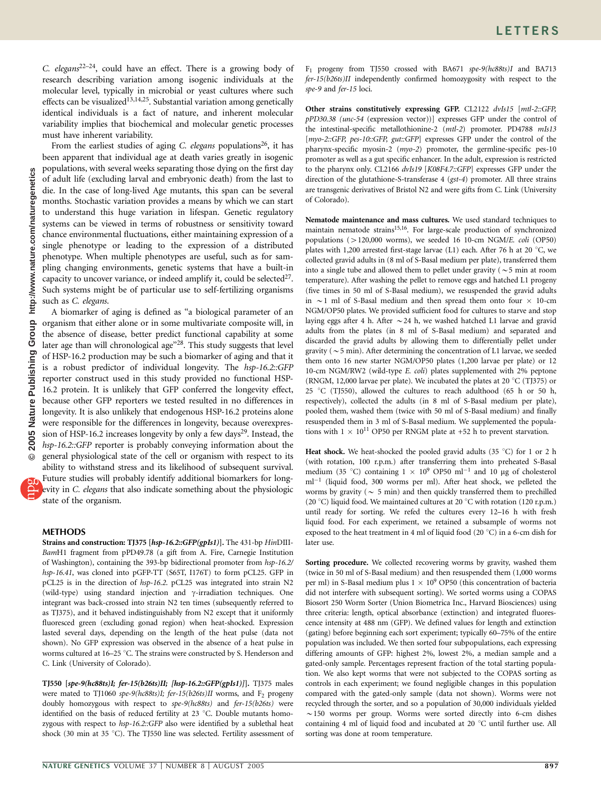C. elegans<sup>22–24</sup>, could have an effect. There is a growing body of research describing variation among isogenic individuals at the molecular level, typically in microbial or yeast cultures where such effects can be visualized<sup>13,14,25</sup>. Substantial variation among genetically identical individuals is a fact of nature, and inherent molecular variability implies that biochemical and molecular genetic processes must have inherent variability.

From the earliest studies of aging C. elegans populations<sup>26</sup>, it has been apparent that individual age at death varies greatly in isogenic populations, with several weeks separating those dying on the first day of adult life (excluding larval and embryonic death) from the last to die. In the case of long-lived Age mutants, this span can be several months. Stochastic variation provides a means by which we can start to understand this huge variation in lifespan. Genetic regulatory systems can be viewed in terms of robustness or sensitivity toward chance environmental fluctuations, either maintaining expression of a single phenotype or leading to the expression of a distributed phenotype. When multiple phenotypes are useful, such as for sampling changing environments, genetic systems that have a built-in capacity to uncover variance, or indeed amplify it, could be selected<sup>27</sup>. Such systems might be of particular use to self-fertilizing organisms such as C. elegans.

A biomarker of aging is defined as ''a biological parameter of an organism that either alone or in some multivariate composite will, in the absence of disease, better predict functional capability at some later age than will chronological age"<sup>28</sup>. This study suggests that level of HSP-16.2 production may be such a biomarker of aging and that it is a robust predictor of individual longevity. The hsp-16.2::GFP reporter construct used in this study provided no functional HSP-16.2 protein. It is unlikely that GFP conferred the longevity effect, because other GFP reporters we tested resulted in no differences in longevity. It is also unlikely that endogenous HSP-16.2 proteins alone were responsible for the differences in longevity, because overexpression of HSP-16.2 increases longevity by only a few days<sup>29</sup>. Instead, the hsp-16.2::GFP reporter is probably conveying information about the general physiological state of the cell or organism with respect to its ability to withstand stress and its likelihood of subsequent survival. Future studies will probably identify additional biomarkers for long-

evity in C. elegans that also indicate something about the physiologic state of the organism.

## **METHODS**

Strains and construction: TJ375 [hsp-16.2::GFP(gpIs1)]. The 431-bp HinDIII-BamH1 fragment from pPD49.78 (a gift from A. Fire, Carnegie Institution of Washington), containing the 393-bp bidirectional promoter from hsp-16.2/ hsp-16.41, was cloned into pGFP-TT (S65T, I176T) to form pCL25. GFP in pCL25 is in the direction of hsp-16.2. pCL25 was integrated into strain N2 (wild-type) using standard injection and  $\gamma$ -irradiation techniques. One integrant was back-crossed into strain N2 ten times (subsequently referred to as TJ375), and it behaved indistinguishably from N2 except that it uniformly fluoresced green (excluding gonad region) when heat-shocked. Expression lasted several days, depending on the length of the heat pulse (data not shown). No GFP expression was observed in the absence of a heat pulse in worms cultured at 16–25 °C. The strains were constructed by S. Henderson and C. Link (University of Colorado).

TJ550 [spe-9(hc88ts)I; fer-15(b26ts)II; [hsp-16.2::GFP(gpIs1)]]. TJ375 males were mated to TJ1060 spe-9(hc88ts)I; fer-15(b26ts)II worms, and  $F_2$  progeny doubly homozygous with respect to spe-9(hc88ts) and fer-15(b26ts) were identified on the basis of reduced fertility at 23 °C. Double mutants homozygous with respect to hsp-16.2::GFP also were identified by a sublethal heat shock (30 min at 35  $^{\circ}$ C). The TJ550 line was selected. Fertility assessment of Other strains constitutively expressing GFP. CL2122 dvIs15 [mtl-2::GFP, pPD30.38 (unc-54 (expression vector))] expresses GFP under the control of the intestinal-specific metallothionine-2 (mtl-2) promoter. PD4788 mIs13 [myo-2::GFP, pes-10::GFP, gut::GFP] expresses GFP under the control of the pharynx-specific myosin-2 (myo-2) promoter, the germline-specific pes-10 promoter as well as a gut specific enhancer. In the adult, expression is restricted to the pharynx only. CL2166 dvIs19 [K08F4.7::GFP] expresses GFP under the direction of the glutathione-S-transferase 4 (gst-4) promoter. All three strains are transgenic derivatives of Bristol N2 and were gifts from C. Link (University of Colorado).

Nematode maintenance and mass cultures. We used standard techniques to maintain nematode strains<sup>15,16</sup>. For large-scale production of synchronized populations ( $>120,000$  worms), we seeded 16 10-cm NGM/E. coli (OP50) plates with 1,200 arrested first-stage larvae (L1) each. After 76 h at 20  $^{\circ}$ C, we collected gravid adults in (8 ml of S-Basal medium per plate), transferred them into a single tube and allowed them to pellet under gravity ( $\sim$  5 min at room temperature). After washing the pellet to remove eggs and hatched L1 progeny (five times in 50 ml of S-Basal medium), we resuspended the gravid adults in  $\sim$  1 ml of S-Basal medium and then spread them onto four  $\times$  10-cm NGM/OP50 plates. We provided sufficient food for cultures to starve and stop laying eggs after 4 h. After  $\sim$  24 h, we washed hatched L1 larvae and gravid adults from the plates (in 8 ml of S-Basal medium) and separated and discarded the gravid adults by allowing them to differentially pellet under gravity ( $\sim$  5 min). After determining the concentration of L1 larvae, we seeded them onto 16 new starter NGM/OP50 plates (1,200 larvae per plate) or 12 10-cm NGM/RW2 (wild-type E. coli) plates supplemented with 2% peptone (RNGM, 12,000 larvae per plate). We incubated the plates at 20  $^{\circ}$ C (TJ375) or 25 °C (TJ550), allowed the cultures to reach adulthood (65 h or 50 h, respectively), collected the adults (in 8 ml of S-Basal medium per plate), pooled them, washed them (twice with 50 ml of S-Basal medium) and finally resuspended them in 3 ml of S-Basal medium. We supplemented the populations with  $1 \times 10^{11}$  OP50 per RNGM plate at +52 h to prevent starvation.

Heat shock. We heat-shocked the pooled gravid adults (35  $^{\circ}$ C) for 1 or 2 h (with rotation, 100 r.p.m.) after transferring them into preheated S-Basal medium (35 °C) containing  $1 \times 10^9$  OP50 ml<sup>-1</sup> and 10 µg of cholesterol ml<sup>-1</sup> (liquid food, 300 worms per ml). After heat shock, we pelleted the worms by gravity (  $\sim\,$  5 min) and then quickly transferred them to prechilled (20 °C) liquid food. We maintained cultures at 20 °C with rotation (120 r.p.m.) until ready for sorting. We refed the cultures every 12–16 h with fresh liquid food. For each experiment, we retained a subsample of worms not exposed to the heat treatment in 4 ml of liquid food (20  $^{\circ}$ C) in a 6-cm dish for later use.

Sorting procedure. We collected recovering worms by gravity, washed them (twice in 50 ml of S-Basal medium) and then resuspended them (1,000 worms per ml) in S-Basal medium plus  $1 \times 10^9$  OP50 (this concentration of bacteria did not interfere with subsequent sorting). We sorted worms using a COPAS Biosort 250 Worm Sorter (Union Biometrica Inc., Harvard Biosciences) using three criteria: length, optical absorbance (extinction) and integrated fluorescence intensity at 488 nm (GFP). We defined values for length and extinction (gating) before beginning each sort experiment; typically 60–75% of the entire population was included. We then sorted four subpopulations, each expressing differing amounts of GFP: highest 2%, lowest 2%, a median sample and a gated-only sample. Percentages represent fraction of the total starting population. We also kept worms that were not subjected to the COPAS sorting as controls in each experiment; we found negligible changes in this population compared with the gated-only sample (data not shown). Worms were not recycled through the sorter, and so a population of 30,000 individuals yielded  $\sim$ 150 worms per group. Worms were sorted directly into 6-cm dishes containing 4 ml of liquid food and incubated at 20 °C until further use. All sorting was done at room temperature.